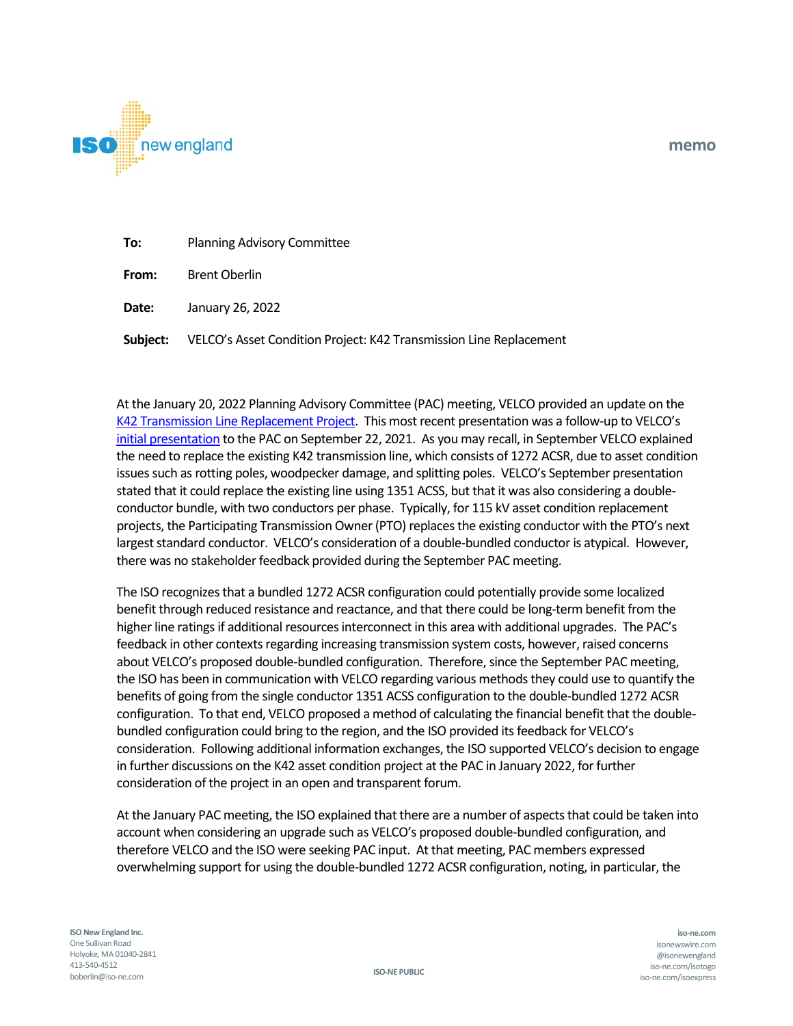

| To:   | <b>Planning Advisory Committee</b> |
|-------|------------------------------------|
| From: | <b>Brent Oberlin</b>               |

**Date:** January 26, 2022

**Subject:** VELCO's Asset Condition Project: K42 Transmission Line Replacement

At the January 20, 2022 Planning Advisory Committee (PAC) meeting, VELCO provided an update on the [K42 Transmission Line Replacement Project.](https://www.iso-ne.com/static-assets/documents/2022/01/a4_velco_k42_transmission_line_replacement_project.pdf) This most recent presentation was a follow-up to VELCO's [initial presentation](https://www.iso-ne.com/static-assets/documents/2021/09/a7_k42_line_refurbishment_project.pdf) to the PAC on September 22, 2021. As you may recall, in September VELCO explained the need to replace the existing K42 transmission line, which consists of 1272 ACSR, due to asset condition issues such as rotting poles, woodpecker damage, and splitting poles. VELCO's September presentation stated that it could replace the existing line using 1351 ACSS, but that it was also considering a doubleconductor bundle, with two conductors per phase. Typically, for 115 kV asset condition replacement projects, the Participating Transmission Owner (PTO) replacesthe existing conductor with the PTO's next largest standard conductor. VELCO's consideration of a double-bundled conductor is atypical. However, there was no stakeholder feedback provided during the September PAC meeting.

The ISO recognizesthat a bundled 1272 ACSR configuration could potentially provide some localized benefit through reduced resistance and reactance, and that there could be long-term benefit from the higher line ratings if additional resources interconnect in this area with additional upgrades. The PAC's feedback in other contexts regarding increasing transmission system costs, however, raised concerns about VELCO's proposed double-bundled configuration. Therefore, since the September PAC meeting, the ISO has been in communication with VELCO regarding various methods they could use to quantify the benefits of going from the single conductor 1351 ACSS configuration to the double-bundled 1272 ACSR configuration. To that end, VELCO proposed a method of calculating the financial benefit that the doublebundled configuration could bring to the region, and the ISO provided its feedback for VELCO's consideration. Following additional information exchanges, the ISO supported VELCO's decision to engage in further discussions on the K42 asset condition project at the PAC in January 2022, for further consideration of the project in an open and transparent forum.

At the January PAC meeting, the ISO explained that there are a number of aspects that could be taken into account when considering an upgrade such as VELCO's proposed double-bundled configuration, and therefore VELCO and the ISO were seeking PAC input. At that meeting, PAC members expressed overwhelming support for using the double-bundled 1272 ACSR configuration, noting, in particular, the